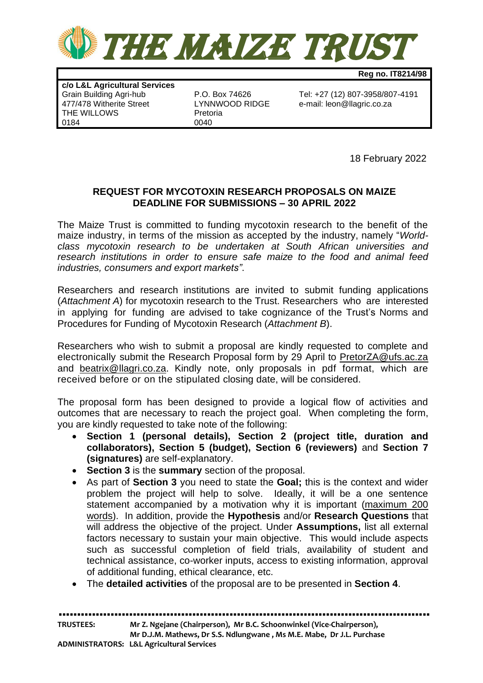

**Reg no. IT8214/98**

**c/o L&L Agricultural Services** 477/478 Witherite Street THE WILLOWS Pretoria 0184 0040

P.O. Box 74626 Tel: +27 (12) 807-3958/807-4191<br>LYNNWOOD RIDGE e-mail: leon@llagric.co.za

18 February 2022

## **REQUEST FOR MYCOTOXIN RESEARCH PROPOSALS ON MAIZE DEADLINE FOR SUBMISSIONS – 30 APRIL 2022**

The Maize Trust is committed to funding mycotoxin research to the benefit of the maize industry, in terms of the mission as accepted by the industry, namely "*Worldclass mycotoxin research to be undertaken at South African universities and research institutions in order to ensure safe maize to the food and animal feed industries, consumers and export markets"*.

Researchers and research institutions are invited to submit funding applications (*Attachment A*) for mycotoxin research to the Trust. Researchers who are interested in applying for funding are advised to take cognizance of the Trust's Norms and Procedures for Funding of Mycotoxin Research (*Attachment B*).

Researchers who wish to submit a proposal are kindly requested to complete and electronically submit the Research Proposal form by 29 April to PretorZA@ufs.ac.za and beatrix@llagri.co.za. Kindly note, only proposals in pdf format, which are received before or on the stipulated closing date, will be considered.

The proposal form has been designed to provide a logical flow of activities and outcomes that are necessary to reach the project goal. When completing the form, you are kindly requested to take note of the following:

- **Section 1 (personal details), Section 2 (project title, duration and collaborators), Section 5 (budget), Section 6 (reviewers)** and **Section 7 (signatures)** are self-explanatory.
- **Section 3** is the **summary** section of the proposal.
- As part of **Section 3** you need to state the **Goal;** this is the context and wider problem the project will help to solve. Ideally, it will be a one sentence statement accompanied by a motivation why it is important (maximum 200 words). In addition, provide the **Hypothesis** and/or **Research Questions** that will address the objective of the project. Under **Assumptions,** list all external factors necessary to sustain your main objective. This would include aspects such as successful completion of field trials, availability of student and technical assistance, co-worker inputs, access to existing information, approval of additional funding, ethical clearance, etc.
- The **detailed activities** of the proposal are to be presented in **Section 4**.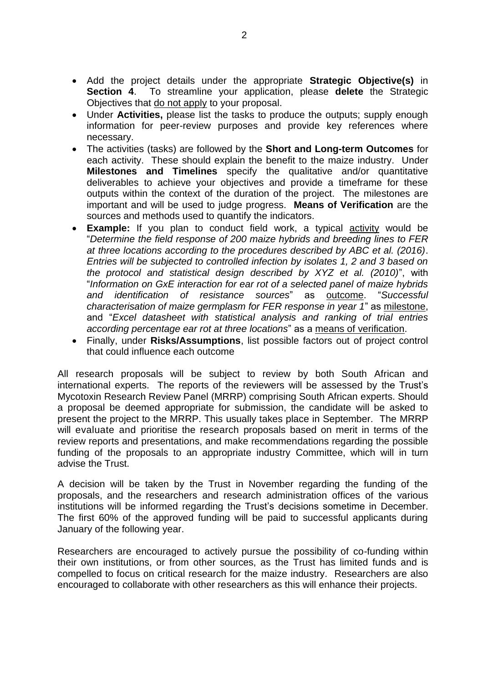- Add the project details under the appropriate **Strategic Objective(s)** in **Section 4**. To streamline your application, please **delete** the Strategic Objectives that do not apply to your proposal.
- Under **Activities,** please list the tasks to produce the outputs; supply enough information for peer-review purposes and provide key references where necessary.
- The activities (tasks) are followed by the **Short and Long-term Outcomes** for each activity. These should explain the benefit to the maize industry. Under **Milestones and Timelines** specify the qualitative and/or quantitative deliverables to achieve your objectives and provide a timeframe for these outputs within the context of the duration of the project. The milestones are important and will be used to judge progress. **Means of Verification** are the sources and methods used to quantify the indicators.
- **Example:** If you plan to conduct field work, a typical activity would be "*Determine the field response of 200 maize hybrids and breeding lines to FER at three locations according to the procedures described by ABC et al. (2016)*. *Entries will be subjected to controlled infection by isolates 1, 2 and 3 based on the protocol and statistical design described by XYZ et al. (2010)*", with "*Information on GxE interaction for ear rot of a selected panel of maize hybrids and identification of resistance sources*" as outcome. "*Successful characterisation of maize germplasm for FER response in year 1*" as milestone, and "*Excel datasheet with statistical analysis and ranking of trial entries according percentage ear rot at three locations*" as a means of verification.
- Finally, under **Risks/Assumptions**, list possible factors out of project control that could influence each outcome

All research proposals will be subject to review by both South African and international experts. The reports of the reviewers will be assessed by the Trust's Mycotoxin Research Review Panel (MRRP) comprising South African experts. Should a proposal be deemed appropriate for submission, the candidate will be asked to present the project to the MRRP. This usually takes place in September. The MRRP will evaluate and prioritise the research proposals based on merit in terms of the review reports and presentations, and make recommendations regarding the possible funding of the proposals to an appropriate industry Committee, which will in turn advise the Trust.

A decision will be taken by the Trust in November regarding the funding of the proposals, and the researchers and research administration offices of the various institutions will be informed regarding the Trust's decisions sometime in December. The first 60% of the approved funding will be paid to successful applicants during January of the following year.

Researchers are encouraged to actively pursue the possibility of co-funding within their own institutions, or from other sources, as the Trust has limited funds and is compelled to focus on critical research for the maize industry. Researchers are also encouraged to collaborate with other researchers as this will enhance their projects.